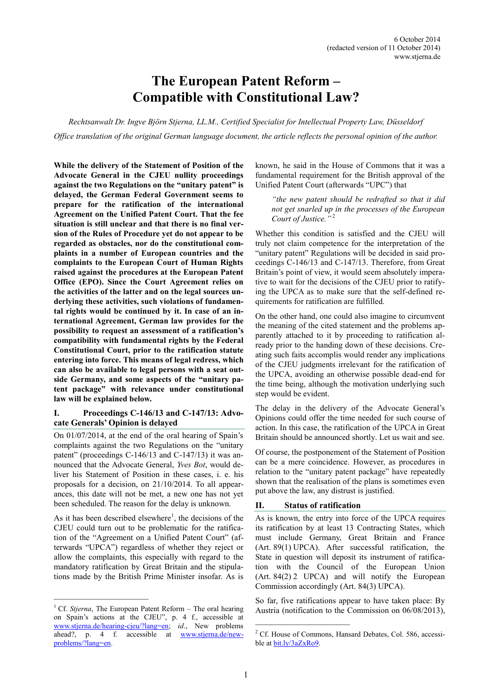# **The European Patent Reform – Compatible with Constitutional Law?**

*Rechtsanwalt Dr. Ingve Björn Stjerna, LL.M., Certified Specialist for Intellectual Property Law, Düsseldorf Office translation of the original German language document, the article reflects the personal opinion of the author.*

**While the delivery of the Statement of Position of the Advocate General in the CJEU nullity proceedings against the two Regulations on the "unitary patent" is delayed, the German Federal Government seems to prepare for the ratification of the international Agreement on the Unified Patent Court. That the fee situation is still unclear and that there is no final version of the Rules of Procedure yet do not appear to be regarded as obstacles, nor do the constitutional complaints in a number of European countries and the complaints to the European Court of Human Rights raised against the procedures at the European Patent Office (EPO). Since the Court Agreement relies on the activities of the latter and on the legal sources underlying these activities, such violations of fundamental rights would be continued by it. In case of an international Agreement, German law provides for the possibility to request an assessment of a ratification's compatibility with fundamental rights by the Federal Constitutional Court, prior to the ratification statute entering into force. This means of legal redress, which can also be available to legal persons with a seat outside Germany, and some aspects of the "unitary patent package" with relevance under constitutional law will be explained below.**

## **I. Proceedings C-146/13 and C-147/13: Advocate Generals' Opinion is delayed**

On 01/07/2014, at the end of the oral hearing of Spain's complaints against the two Regulations on the "unitary patent" (proceedings C-146/13 and C-147/13) it was announced that the Advocate General, *Yves Bot*, would deliver his Statement of Position in these cases, i. e. his proposals for a decision, on 21/10/2014. To all appearances, this date will not be met, a new one has not yet been scheduled. The reason for the delay is unknown.

As it has been described elsewhere<sup>1</sup>, the decisions of the CJEU could turn out to be problematic for the ratification of the "Agreement on a Unified Patent Court" (afterwards "UPCA") regardless of whether they reject or allow the complaints, this especially with regard to the mandatory ratification by Great Britain and the stipulations made by the British Prime Minister insofar. As is

known, he said in the House of Commons that it was a fundamental requirement for the British approval of the Unified Patent Court (afterwards "UPC") that

*"the new patent should be redrafted so that it did not get snarled up in the processes of the European Court of Justice."* <sup>2</sup>

Whether this condition is satisfied and the CJEU will truly not claim competence for the interpretation of the "unitary patent" Regulations will be decided in said proceedings C-146/13 and C-147/13. Therefore, from Great Britain's point of view, it would seem absolutely imperative to wait for the decisions of the CJEU prior to ratifying the UPCA as to make sure that the self-defined requirements for ratification are fulfilled.

On the other hand, one could also imagine to circumvent the meaning of the cited statement and the problems apparently attached to it by proceeding to ratification already prior to the handing down of these decisions. Creating such faits accomplis would render any implications of the CJEU judgments irrelevant for the ratification of the UPCA, avoiding an otherwise possible dead-end for the time being, although the motivation underlying such step would be evident.

The delay in the delivery of the Advocate General's Opinions could offer the time needed for such course of action. In this case, the ratification of the UPCA in Great Britain should be announced shortly. Let us wait and see.

Of course, the postponement of the Statement of Position can be a mere coincidence. However, as procedures in relation to the "unitary patent package" have repeatedly shown that the realisation of the plans is sometimes even put above the law, any distrust is justified.

# **II. Status of ratification**

As is known, the entry into force of the UPCA requires its ratification by at least 13 Contracting States, which must include Germany, Great Britain and France (Art. 89(1) UPCA). After successful ratification, the State in question will deposit its instrument of ratification with the Council of the European Union (Art. 84(2) 2 UPCA) and will notify the European Commission accordingly (Art. 84(3) UPCA).

So far, five ratifications appear to have taken place: By Austria (notification to the Commission on 06/08/2013),

<sup>&</sup>lt;sup>1</sup> Cf. *Stjerna*, The European Patent Reform – The oral hearing on Spain's actions at the CJEU", p. 4 f., accessible at [www.stjerna.de/hearing](http://www.stjerna.de/hearing-cjeu/?lang=en)-cjeu/?lang=en; *id*., New problems ahead?, p. 4 f. accessible at [www.stjerna.de/new](http://www.stjerna.de/new-problems/?lang=en)[problems/?lang=en.](http://www.stjerna.de/new-problems/?lang=en) 

<sup>2</sup> Cf. House of Commons, Hansard Debates, Col. 586, accessible at [bit.ly/3aZxRo9.](https://bit.ly/3aZxRo9)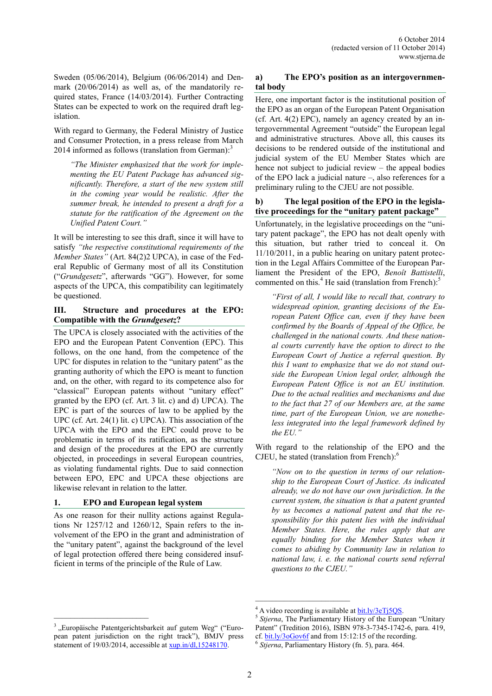Sweden (05/06/2014), Belgium (06/06/2014) and Denmark (20/06/2014) as well as, of the mandatorily required states, France (14/03/2014). Further Contracting States can be expected to work on the required draft legislation.

With regard to Germany, the Federal Ministry of Justice and Consumer Protection, in a press release from March 2014 informed as follows (translation from German):<sup>3</sup>

*"The Minister emphasized that the work for implementing the EU Patent Package has advanced significantly. Therefore, a start of the new system still in the coming year would be realistic. After the summer break, he intended to present a draft for a statute for the ratification of the Agreement on the Unified Patent Court."* 

It will be interesting to see this draft, since it will have to satisfy *"the respective constitutional requirements of the Member States"* (Art. 84(2)2 UPCA), in case of the Federal Republic of Germany most of all its Constitution ("*Grundgesetz*", afterwards "GG"). However, for some aspects of the UPCA, this compatibility can legitimately be questioned.

## **III. Structure and procedures at the EPO: Compatible with the** *Grundgesetz***?**

The UPCA is closely associated with the activities of the EPO and the European Patent Convention (EPC). This follows, on the one hand, from the competence of the UPC for disputes in relation to the "unitary patent" as the granting authority of which the EPO is meant to function and, on the other, with regard to its competence also for "classical" European patents without "unitary effect" granted by the EPO (cf. Art. 3 lit. c) and d) UPCA). The EPC is part of the sources of law to be applied by the UPC (cf. Art. 24(1) lit. c) UPCA). This association of the UPCA with the EPO and the EPC could prove to be problematic in terms of its ratification, as the structure and design of the procedures at the EPO are currently objected, in proceedings in several European countries, as violating fundamental rights. Due to said connection between EPO, EPC and UPCA these objections are likewise relevant in relation to the latter.

#### **1. EPO and European legal system**

\_\_\_\_\_\_\_\_\_\_\_\_\_\_\_\_\_\_\_\_\_\_\_

As one reason for their nullity actions against Regulations Nr 1257/12 and 1260/12, Spain refers to the involvement of the EPO in the grant and administration of the "unitary patent", against the background of the level of legal protection offered there being considered insufficient in terms of the principle of the Rule of Law.

# **a) The EPO's position as an intergovernmental body**

Here, one important factor is the institutional position of the EPO as an organ of the European Patent Organisation (cf. Art. 4(2) EPC), namely an agency created by an intergovernmental Agreement "outside" the European legal and administrative structures. Above all, this causes its decisions to be rendered outside of the institutional and judicial system of the EU Member States which are hence not subject to judicial review – the appeal bodies of the EPO lack a judicial nature –, also references for a preliminary ruling to the CJEU are not possible.

#### **b) The legal position of the EPO in the legislative proceedings for the "unitary patent package"**

Unfortunately, in the legislative proceedings on the "unitary patent package", the EPO has not dealt openly with this situation, but rather tried to conceal it. On 11/10/2011, in a public hearing on unitary patent protection in the Legal Affairs Committee of the European Parliament the President of the EPO, *Benoît Battistelli*, commented on this.<sup>4</sup> He said (translation from French).<sup>5</sup>

*"First of all, I would like to recall that, contrary to widespread opinion, granting decisions of the European Patent Office can, even if they have been confirmed by the Boards of Appeal of the Office, be challenged in the national courts. And these national courts currently have the option to direct to the European Court of Justice a referral question. By this I want to emphasize that we do not stand outside the European Union legal order, although the European Patent Office is not an EU institution. Due to the actual realities and mechanisms and due to the fact that 27 of our Members are, at the same time, part of the European Union, we are nonetheless integrated into the legal framework defined by the EU."*

With regard to the relationship of the EPO and the CJEU, he stated (translation from French): $<sup>6</sup>$ </sup>

*"Now on to the question in terms of our relationship to the European Court of Justice. As indicated already, we do not have our own jurisdiction. In the current system, the situation is that a patent granted by us becomes a national patent and that the responsibility for this patent lies with the individual Member States. Here, the rules apply that are equally binding for the Member States when it comes to abiding by Community law in relation to national law, i. e. the national courts send referral questions to the CJEU."*

 $\mathcal{L}_\text{max}$ 

 $^{4}$  A video recording is available a[t bit.ly/3eTj5QS.](http://bit.ly/3eTj5QS)

<sup>5</sup> *Stjerna*, The Parliamentary History of the European "Unitary Patent" (Tredition 2016), ISBN 978-3-7345-1742-6, para. 419, cf.  $bit.ly/3oGov6f$  and from 15:12:15 of the recording.

<sup>6</sup> *Stjerna*, Parliamentary History (fn. 5), para. 464.

<sup>&</sup>lt;sup>3</sup> "Europäische Patentgerichtsbarkeit auf gutem Weg" ("European patent jurisdiction on the right track"), BMJV press statement of 19/03/2014, accessible a[t xup.in/dl,15248170.](http://xup.in/dl,15248170)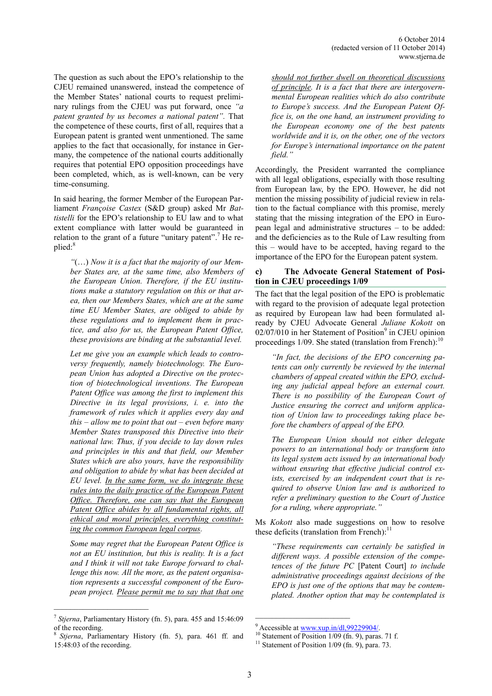The question as such about the EPO's relationship to the CJEU remained unanswered, instead the competence of the Member States' national courts to request preliminary rulings from the CJEU was put forward, once *"a patent granted by us becomes a national patent".* That the competence of these courts, first of all, requires that a European patent is granted went unmentioned. The same applies to the fact that occasionally, for instance in Germany, the competence of the national courts additionally requires that potential EPO opposition proceedings have been completed, which, as is well-known, can be very time-consuming.

In said hearing, the former Member of the European Parliament *Françoise Castex* (S&D group) asked Mr *Battistelli* for the EPO's relationship to EU law and to what extent compliance with latter would be guaranteed in relation to the grant of a future "unitary patent".<sup>7</sup> He replied: 8

*"*(…) *Now it is a fact that the majority of our Member States are, at the same time, also Members of the European Union. Therefore, if the EU institutions make a statutory regulation on this or that area, then our Members States, which are at the same time EU Member States, are obliged to abide by these regulations and to implement them in practice, and also for us, the European Patent Office, these provisions are binding at the substantial level.*

*Let me give you an example which leads to controversy frequently, namely biotechnology. The European Union has adopted a Directive on the protection of biotechnological inventions. The European Patent Office was among the first to implement this Directive in its legal provisions, i. e. into the framework of rules which it applies every day and this – allow me to point that out – even before many Member States transposed this Directive into their national law. Thus, if you decide to lay down rules and principles in this and that field, our Member States which are also yours, have the responsibility and obligation to abide by what has been decided at EU level. In the same form, we do integrate these rules into the daily practice of the European Patent Office. Therefore, one can say that the European Patent Office abides by all fundamental rights, all ethical and moral principles, everything constituting the common European legal corpus.*

*Some may regret that the European Patent Office is not an EU institution, but this is reality. It is a fact and I think it will not take Europe forward to challenge this now. All the more, as the patent organisation represents a successful component of the European project. Please permit me to say that that one* 

 $\mathcal{L}_\text{max}$ 

*should not further dwell on theoretical discussions of principle. It is a fact that there are intergovernmental European realities which do also contribute to Europe's success. And the European Patent Office is, on the one hand, an instrument providing to the European economy one of the best patents worldwide and it is, on the other, one of the vectors for Europe's international importance on the patent field."*

Accordingly, the President warranted the compliance with all legal obligations, especially with those resulting from European law, by the EPO. However, he did not mention the missing possibility of judicial review in relation to the factual compliance with this promise, merely stating that the missing integration of the EPO in European legal and administrative structures – to be added: and the deficiencies as to the Rule of Law resulting from this – would have to be accepted, having regard to the importance of the EPO for the European patent system.

## **c) The Advocate General Statement of Position in CJEU proceedings 1/09**

The fact that the legal position of the EPO is problematic with regard to the provision of adequate legal protection as required by European law had been formulated already by CJEU Advocate General *Juliane Kokott* on  $02/07/010$  in her Statement of Position<sup>9</sup> in CJEU opinion proceedings  $1/09$ . She stated (translation from French):<sup>10</sup>

*"In fact, the decisions of the EPO concerning patents can only currently be reviewed by the internal chambers of appeal created within the EPO, excluding any judicial appeal before an external court. There is no possibility of the European Court of Justice ensuring the correct and uniform application of Union law to proceedings taking place before the chambers of appeal of the EPO.*

*The European Union should not either delegate powers to an international body or transform into its legal system acts issued by an international body without ensuring that effective judicial control exists, exercised by an independent court that is required to observe Union law and is authorized to refer a preliminary question to the Court of Justice for a ruling, where appropriate."*

Ms *Kokott* also made suggestions on how to resolve these deficits (translation from French): $<sup>11</sup>$ </sup>

*"These requirements can certainly be satisfied in different ways. A possible extension of the competences of the future PC* [Patent Court] *to include administrative proceedings against decisions of the EPO is just one of the options that may be contemplated. Another option that may be contemplated is* 

\_\_\_\_\_\_\_\_\_\_\_\_\_\_\_\_\_\_\_\_\_\_\_

<sup>7</sup> *Stjerna*, Parliamentary History (fn. 5), para. 455 and 15:46:09 of the recording.

<sup>8</sup> *Stjerna*, Parliamentary History (fn. 5), para. 461 ff. and 15:48:03 of the recording.

 $9$  Accessible a[t www.xup.in/dl,99229904/.](http://www.xup.in/dl,99229904/)

 $10$  Statement of Position 1/09 (fn. 9), paras. 71 f.

<sup>&</sup>lt;sup>11</sup> Statement of Position  $1/09$  (fn. 9), para. 73.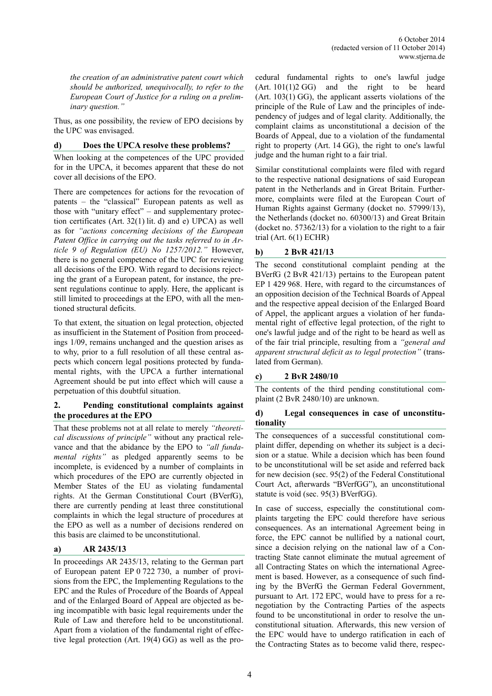*the creation of an administrative patent court which should be authorized, unequivocally, to refer to the European Court of Justice for a ruling on a preliminary question."*

Thus, as one possibility, the review of EPO decisions by the UPC was envisaged.

#### **d) Does the UPCA resolve these problems?**

When looking at the competences of the UPC provided for in the UPCA, it becomes apparent that these do not cover all decisions of the EPO.

There are competences for actions for the revocation of patents – the "classical" European patents as well as those with "unitary effect" – and supplementary protection certificates (Art. 32(1) lit. d) and e) UPCA) as well as for *"actions concerning decisions of the European Patent Office in carrying out the tasks referred to in Article 9 of Regulation (EU) No 1257/2012."* However, there is no general competence of the UPC for reviewing all decisions of the EPO. With regard to decisions rejecting the grant of a European patent, for instance, the present regulations continue to apply. Here, the applicant is still limited to proceedings at the EPO, with all the mentioned structural deficits.

To that extent, the situation on legal protection, objected as insufficient in the Statement of Position from proceedings 1/09, remains unchanged and the question arises as to why, prior to a full resolution of all these central aspects which concern legal positions protected by fundamental rights, with the UPCA a further international Agreement should be put into effect which will cause a perpetuation of this doubtful situation.

## **2. Pending constitutional complaints against the procedures at the EPO**

That these problems not at all relate to merely *"theoretical discussions of principle"* without any practical relevance and that the abidance by the EPO to *"all fundamental rights"* as pledged apparently seems to be incomplete, is evidenced by a number of complaints in which procedures of the EPO are currently objected in Member States of the EU as violating fundamental rights. At the German Constitutional Court (BVerfG), there are currently pending at least three constitutional complaints in which the legal structure of procedures at the EPO as well as a number of decisions rendered on this basis are claimed to be unconstitutional.

# **a) AR 2435/13**

In proceedings AR 2435/13, relating to the German part of European patent EP 0 722 730, a number of provisions from the EPC, the Implementing Regulations to the EPC and the Rules of Procedure of the Boards of Appeal and of the Enlarged Board of Appeal are objected as being incompatible with basic legal requirements under the Rule of Law and therefore held to be unconstitutional. Apart from a violation of the fundamental right of effective legal protection (Art. 19(4) GG) as well as the procedural fundamental rights to one's lawful judge  $(Art. 101(1)2 GG)$  and the right to be heard (Art. 103(1) GG), the applicant asserts violations of the principle of the Rule of Law and the principles of independency of judges and of legal clarity. Additionally, the complaint claims as unconstitutional a decision of the Boards of Appeal, due to a violation of the fundamental right to property (Art. 14 GG), the right to one's lawful judge and the human right to a fair trial.

Similar constitutional complaints were filed with regard to the respective national designations of said European patent in the Netherlands and in Great Britain. Furthermore, complaints were filed at the European Court of Human Rights against Germany (docket no. 57999/13), the Netherlands (docket no. 60300/13) and Great Britain (docket no. 57362/13) for a violation to the right to a fair trial (Art. 6(1) ECHR)

#### **b) 2 BvR 421/13**

The second constitutional complaint pending at the BVerfG (2 BvR 421/13) pertains to the European patent EP 1 429 968. Here, with regard to the circumstances of an opposition decision of the Technical Boards of Appeal and the respective appeal decision of the Enlarged Board of Appel, the applicant argues a violation of her fundamental right of effective legal protection, of the right to one's lawful judge and of the right to be heard as well as of the fair trial principle, resulting from a *"general and apparent structural deficit as to legal protection"* (translated from German).

## **c) 2 BvR 2480/10**

The contents of the third pending constitutional complaint (2 BvR 2480/10) are unknown.

## **d) Legal consequences in case of unconstitutionality**

The consequences of a successful constitutional complaint differ, depending on whether its subject is a decision or a statue. While a decision which has been found to be unconstitutional will be set aside and referred back for new decision (sec. 95(2) of the Federal Constitutional Court Act, afterwards "BVerfGG"), an unconstitutional statute is void (sec. 95(3) BVerfGG).

In case of success, especially the constitutional complaints targeting the EPC could therefore have serious consequences. As an international Agreement being in force, the EPC cannot be nullified by a national court, since a decision relying on the national law of a Contracting State cannot eliminate the mutual agreement of all Contracting States on which the international Agreement is based. However, as a consequence of such finding by the BVerfG the German Federal Government, pursuant to Art. 172 EPC, would have to press for a renegotiation by the Contracting Parties of the aspects found to be unconstitutional in order to resolve the unconstitutional situation. Afterwards, this new version of the EPC would have to undergo ratification in each of the Contracting States as to become valid there, respec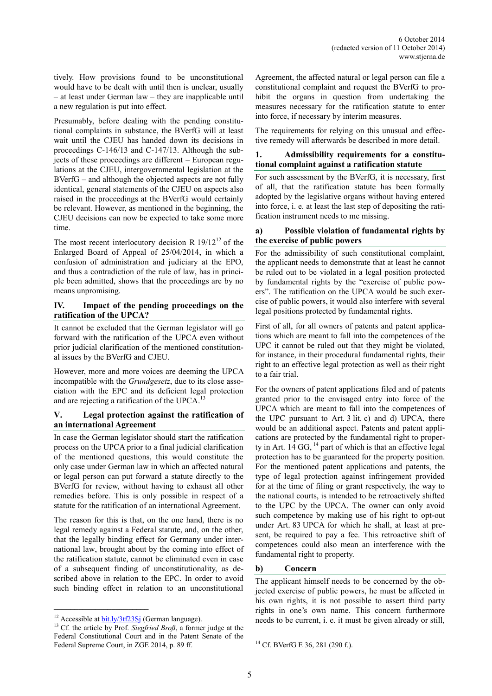tively. How provisions found to be unconstitutional would have to be dealt with until then is unclear, usually – at least under German law – they are inapplicable until a new regulation is put into effect.

Presumably, before dealing with the pending constitutional complaints in substance, the BVerfG will at least wait until the CJEU has handed down its decisions in proceedings C-146/13 and C-147/13. Although the subjects of these proceedings are different – European regulations at the CJEU, intergovernmental legislation at the BVerfG – and although the objected aspects are not fully identical, general statements of the CJEU on aspects also raised in the proceedings at the BVerfG would certainly be relevant. However, as mentioned in the beginning, the CJEU decisions can now be expected to take some more time.

The most recent interlocutory decision R  $19/12^{12}$  of the Enlarged Board of Appeal of 25/04/2014, in which a confusion of administration and judiciary at the EPO, and thus a contradiction of the rule of law, has in principle been admitted, shows that the proceedings are by no means unpromising.

### **IV. Impact of the pending proceedings on the ratification of the UPCA?**

It cannot be excluded that the German legislator will go forward with the ratification of the UPCA even without prior judicial clarification of the mentioned constitutional issues by the BVerfG and CJEU.

However, more and more voices are deeming the UPCA incompatible with the *Grundgesetz*, due to its close association with the EPC and its deficient legal protection and are rejecting a ratification of the UPCA.<sup>13</sup>

# **V. Legal protection against the ratification of an international Agreement**

In case the German legislator should start the ratification process on the UPCA prior to a final judicial clarification of the mentioned questions, this would constitute the only case under German law in which an affected natural or legal person can put forward a statute directly to the BVerfG for review, without having to exhaust all other remedies before. This is only possible in respect of a statute for the ratification of an international Agreement.

The reason for this is that, on the one hand, there is no legal remedy against a Federal statute, and, on the other, that the legally binding effect for Germany under international law, brought about by the coming into effect of the ratification statute, cannot be eliminated even in case of a subsequent finding of unconstitutionality, as described above in relation to the EPC. In order to avoid such binding effect in relation to an unconstitutional

 $\mathcal{L}_\text{max}$ 

Agreement, the affected natural or legal person can file a constitutional complaint and request the BVerfG to prohibit the organs in question from undertaking the measures necessary for the ratification statute to enter into force, if necessary by interim measures.

The requirements for relying on this unusual and effective remedy will afterwards be described in more detail.

## **1. Admissibility requirements for a constitutional complaint against a ratification statute**

For such assessment by the BVerfG, it is necessary, first of all, that the ratification statute has been formally adopted by the legislative organs without having entered into force, i. e. at least the last step of depositing the ratification instrument needs to me missing.

#### **a) Possible violation of fundamental rights by the exercise of public powers**

For the admissibility of such constitutional complaint, the applicant needs to demonstrate that at least he cannot be ruled out to be violated in a legal position protected by fundamental rights by the "exercise of public powers". The ratification on the UPCA would be such exercise of public powers, it would also interfere with several legal positions protected by fundamental rights.

First of all, for all owners of patents and patent applications which are meant to fall into the competences of the UPC it cannot be ruled out that they might be violated, for instance, in their procedural fundamental rights, their right to an effective legal protection as well as their right to a fair trial.

For the owners of patent applications filed and of patents granted prior to the envisaged entry into force of the UPCA which are meant to fall into the competences of the UPC pursuant to Art. 3 lit. c) and d) UPCA, there would be an additional aspect. Patents and patent applications are protected by the fundamental right to property in Art.  $14$  GG,  $^{14}$  part of which is that an effective legal protection has to be guaranteed for the property position. For the mentioned patent applications and patents, the type of legal protection against infringement provided for at the time of filing or grant respectively, the way to the national courts, is intended to be retroactively shifted to the UPC by the UPCA. The owner can only avoid such competence by making use of his right to opt-out under Art. 83 UPCA for which he shall, at least at present, be required to pay a fee. This retroactive shift of competences could also mean an interference with the fundamental right to property.

# **b) Concern**

The applicant himself needs to be concerned by the objected exercise of public powers, he must be affected in his own rights, it is not possible to assert third party rights in one's own name. This concern furthermore needs to be current, i. e. it must be given already or still,

<sup>&</sup>lt;sup>12</sup> Accessible at  $\frac{bit \cdot ly}{3t}$  (German language).

<sup>&</sup>lt;sup>13</sup> Cf. the article by Prof. *Siegfried Broß*, a former judge at the Federal Constitutional Court and in the Patent Senate of the Federal Supreme Court, in ZGE 2014, p. 89 ff.

<sup>14</sup> Cf. BVerfG E 36, 281 (290 f.).